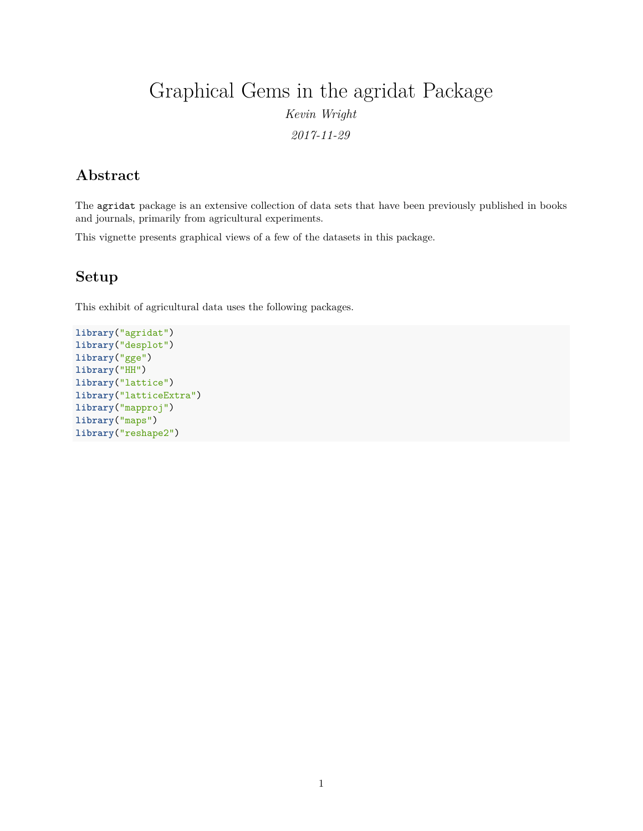# Graphical Gems in the agridat Package *Kevin Wright*

*2017-11-29*

# **Abstract**

The agridat package is an extensive collection of data sets that have been previously published in books and journals, primarily from agricultural experiments.

This vignette presents graphical views of a few of the datasets in this package.

#### **Setup**

This exhibit of agricultural data uses the following packages.

```
library("agridat")
library("desplot")
library("gge")
library("HH")
library("lattice")
library("latticeExtra")
library("mapproj")
library("maps")
library("reshape2")
```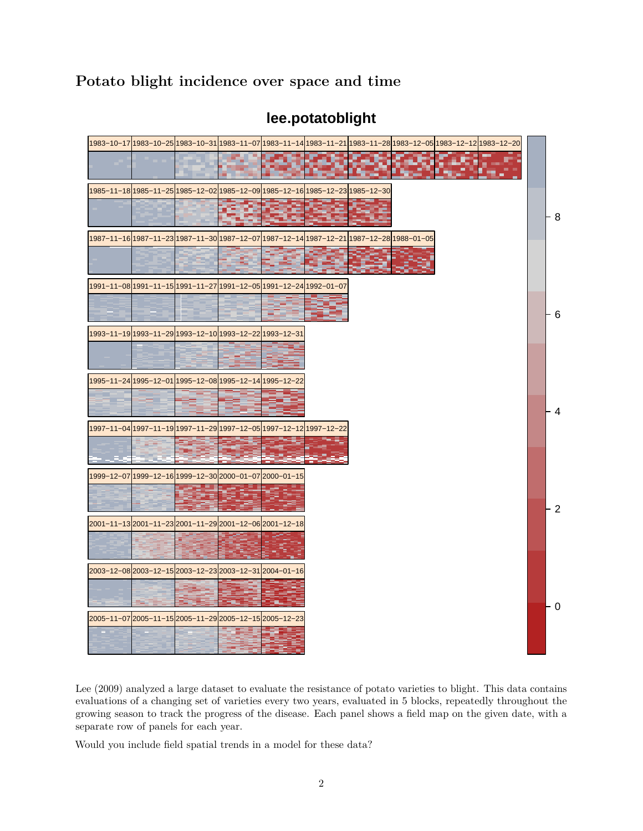# **Potato blight incidence over space and time**



### **lee.potatoblight**

Lee (2009) analyzed a large dataset to evaluate the resistance of potato varieties to blight. This data contains evaluations of a changing set of varieties every two years, evaluated in 5 blocks, repeatedly throughout the growing season to track the progress of the disease. Each panel shows a field map on the given date, with a separate row of panels for each year.

Would you include field spatial trends in a model for these data?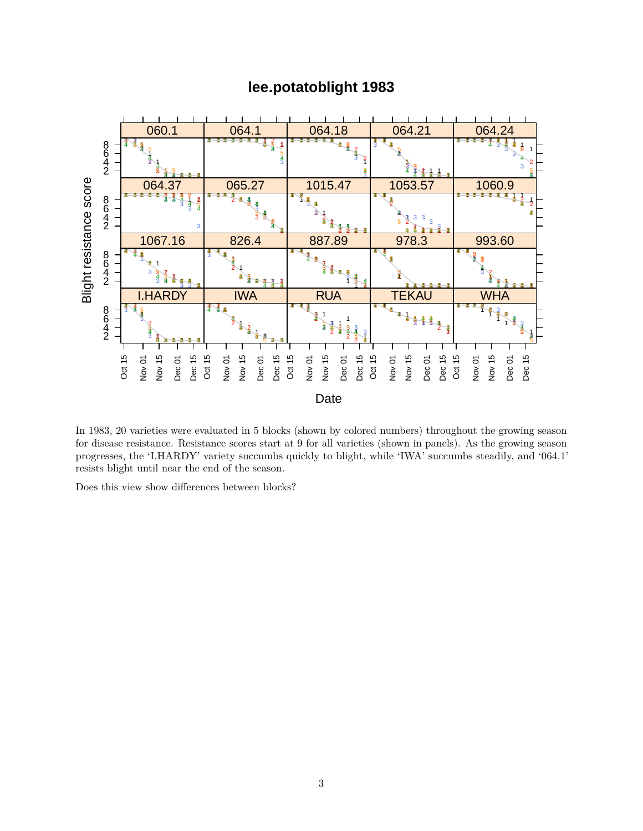



In 1983, 20 varieties were evaluated in 5 blocks (shown by colored numbers) throughout the growing season for disease resistance. Resistance scores start at 9 for all varieties (shown in panels). As the growing season progresses, the 'I.HARDY' variety succumbs quickly to blight, while 'IWA' succumbs steadily, and '064.1' resists blight until near the end of the season.

Does this view show differences between blocks?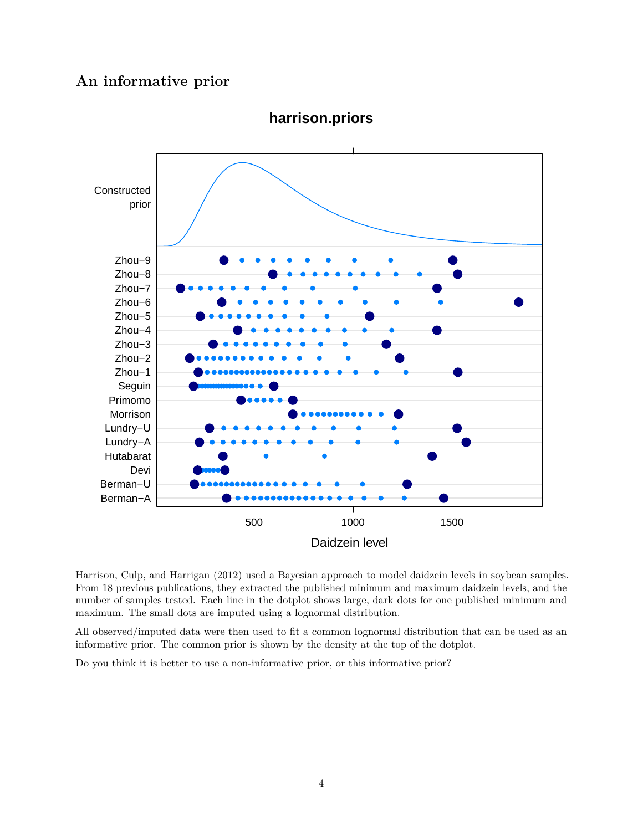#### **An informative prior**



**harrison.priors**

Harrison, Culp, and Harrigan (2012) used a Bayesian approach to model daidzein levels in soybean samples. From 18 previous publications, they extracted the published minimum and maximum daidzein levels, and the number of samples tested. Each line in the dotplot shows large, dark dots for one published minimum and maximum. The small dots are imputed using a lognormal distribution.

All observed/imputed data were then used to fit a common lognormal distribution that can be used as an informative prior. The common prior is shown by the density at the top of the dotplot.

Do you think it is better to use a non-informative prior, or this informative prior?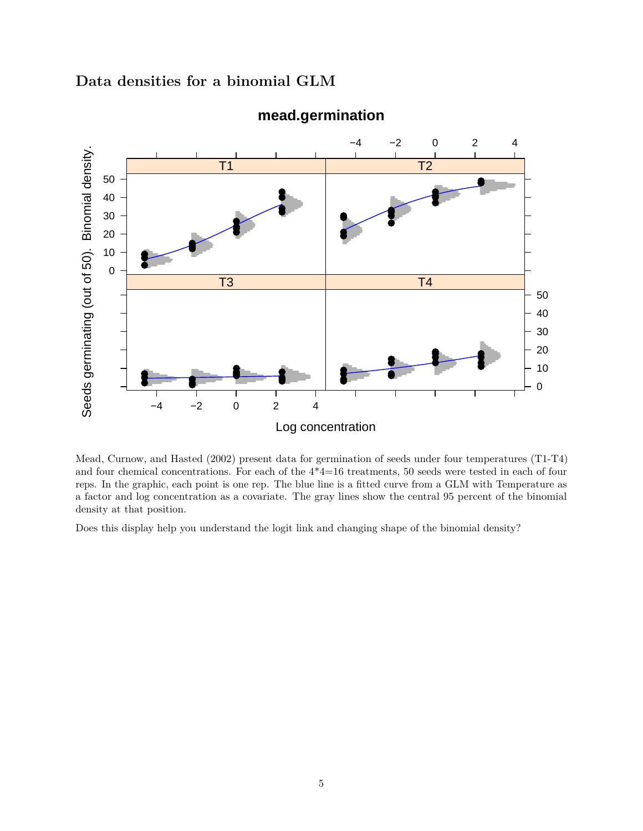### **Data densities for a binomial GLM**



#### **mead.germination**

Mead, Curnow, and Hasted (2002) present data for germination of seeds under four temperatures (T1-T4) and four chemical concentrations. For each of the 4\*4=16 treatments, 50 seeds were tested in each of four reps. In the graphic, each point is one rep. The blue line is a fitted curve from a GLM with Temperature as a factor and log concentration as a covariate. The gray lines show the central 95 percent of the binomial density at that position.

Does this display help you understand the logit link and changing shape of the binomial density?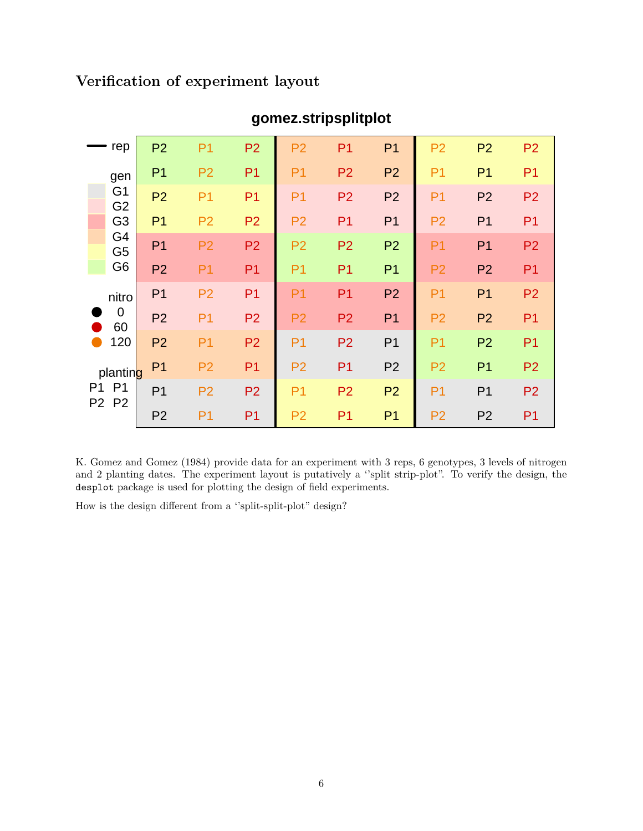# **Verification of experiment layout**

| rep         |                                                                                                     | P <sub>2</sub> | P <sub>1</sub> | P <sub>2</sub> | P <sub>2</sub> | P <sub>1</sub> | P <sub>1</sub> | P <sub>2</sub> | P <sub>2</sub> | P <sub>2</sub> |
|-------------|-----------------------------------------------------------------------------------------------------|----------------|----------------|----------------|----------------|----------------|----------------|----------------|----------------|----------------|
|             | gen<br>G <sub>1</sub><br>G <sub>2</sub><br>G <sub>3</sub><br>G4<br>G <sub>5</sub><br>G <sub>6</sub> | P <sub>1</sub> | P <sub>2</sub> | P <sub>1</sub> | P <sub>1</sub> | P <sub>2</sub> | P <sub>2</sub> | P <sub>1</sub> | P <sub>1</sub> | P <sub>1</sub> |
|             |                                                                                                     | P <sub>2</sub> | P <sub>1</sub> | P <sub>1</sub> | P <sub>1</sub> | P <sub>2</sub> | P <sub>2</sub> | P <sub>1</sub> | P <sub>2</sub> | P <sub>2</sub> |
|             |                                                                                                     | P <sub>1</sub> | P <sub>2</sub> | P <sub>2</sub> | P <sub>2</sub> | P <sub>1</sub> | P <sub>1</sub> | P <sub>2</sub> | P <sub>1</sub> | P <sub>1</sub> |
|             |                                                                                                     | P <sub>1</sub> | P <sub>2</sub> | P <sub>2</sub> | P <sub>2</sub> | P <sub>2</sub> | P <sub>2</sub> | P <sub>1</sub> | P <sub>1</sub> | P <sub>2</sub> |
|             |                                                                                                     | P <sub>2</sub> | P <sub>1</sub> | P <sub>1</sub> | P <sub>1</sub> | P <sub>1</sub> | P <sub>1</sub> | P <sub>2</sub> | P <sub>2</sub> | P <sub>1</sub> |
|             | nitro                                                                                               | P <sub>1</sub> | P <sub>2</sub> | P <sub>1</sub> | P <sub>1</sub> | P <sub>1</sub> | P <sub>2</sub> | P <sub>1</sub> | P <sub>1</sub> | P <sub>2</sub> |
|             | $\overline{0}$<br>60                                                                                | P <sub>2</sub> | P <sub>1</sub> | P <sub>2</sub> | P <sub>2</sub> | P <sub>2</sub> | P <sub>1</sub> | P <sub>2</sub> | P <sub>2</sub> | P <sub>1</sub> |
|             | 120                                                                                                 | P <sub>2</sub> | P <sub>1</sub> | P <sub>2</sub> | P <sub>1</sub> | P <sub>2</sub> | P <sub>1</sub> | P <sub>1</sub> | P <sub>2</sub> | P <sub>1</sub> |
| P1<br>P2 P2 | planting                                                                                            | P <sub>1</sub> | P <sub>2</sub> | P <sub>1</sub> | P <sub>2</sub> | P <sub>1</sub> | P <sub>2</sub> | P <sub>2</sub> | P <sub>1</sub> | P <sub>2</sub> |
|             | P <sub>1</sub>                                                                                      | P <sub>1</sub> | P <sub>2</sub> | P <sub>2</sub> | P <sub>1</sub> | P <sub>2</sub> | P <sub>2</sub> | P <sub>1</sub> | P <sub>1</sub> | P <sub>2</sub> |
|             |                                                                                                     | P <sub>2</sub> | P <sub>1</sub> | P <sub>1</sub> | P <sub>2</sub> | P <sub>1</sub> | P <sub>1</sub> | P <sub>2</sub> | P <sub>2</sub> | P <sub>1</sub> |

# **gomez.stripsplitplot**

K. Gomez and Gomez (1984) provide data for an experiment with 3 reps, 6 genotypes, 3 levels of nitrogen and 2 planting dates. The experiment layout is putatively a ''split strip-plot". To verify the design, the desplot package is used for plotting the design of field experiments.

How is the design different from a ''split-split-plot" design?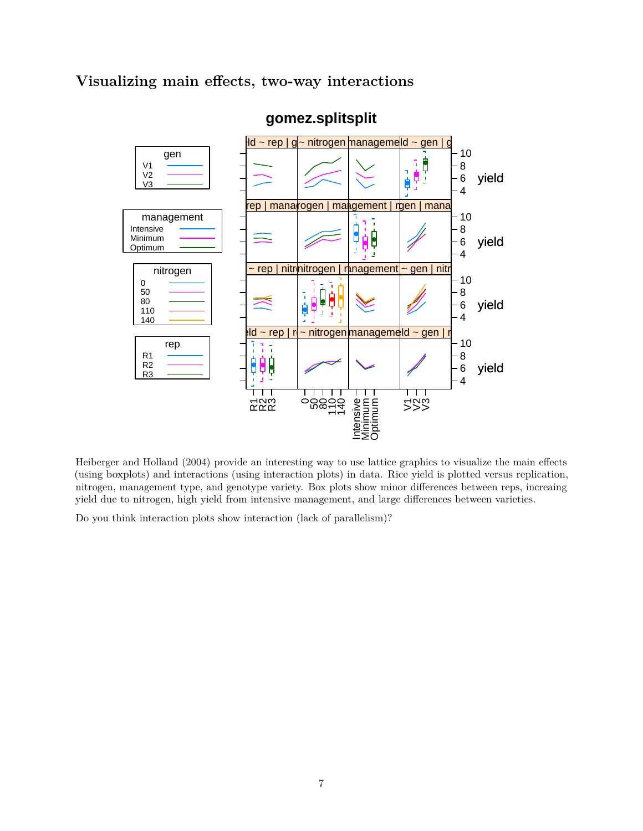#### **Visualizing main effects, two-way interactions**



### **gomez.splitsplit**

Heiberger and Holland (2004) provide an interesting way to use lattice graphics to visualize the main effects (using boxplots) and interactions (using interaction plots) in data. Rice yield is plotted versus replication, nitrogen, management type, and genotype variety. Box plots show minor differences between reps, increaing yield due to nitrogen, high yield from intensive management, and large differences between varieties.

Do you think interaction plots show interaction (lack of parallelism)?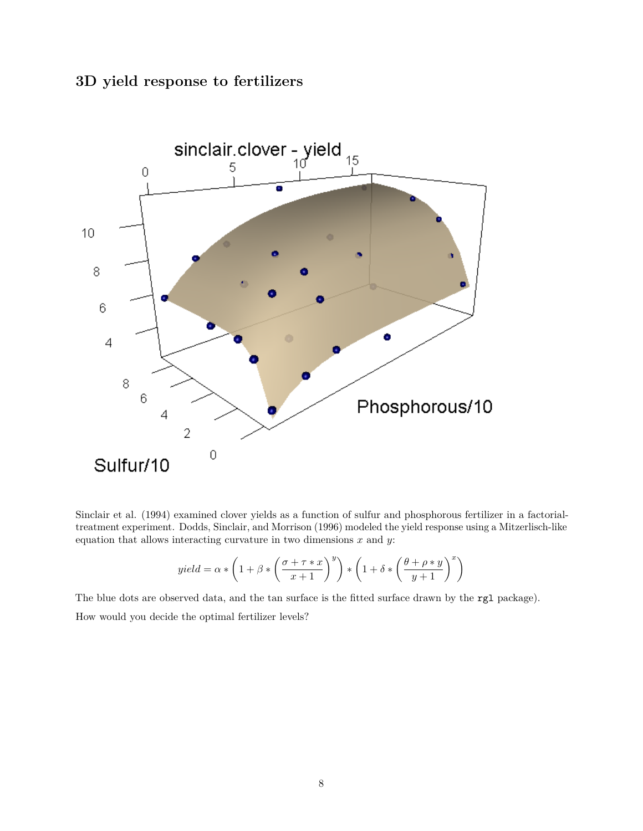### **3D yield response to fertilizers**



Sinclair et al. (1994) examined clover yields as a function of sulfur and phosphorous fertilizer in a factorialtreatment experiment. Dodds, Sinclair, and Morrison (1996) modeled the yield response using a Mitzerlisch-like equation that allows interacting curvature in two dimensions *x* and *y*:

$$
yield = \alpha * \left( 1 + \beta * \left( \frac{\sigma + \tau * x}{x + 1} \right)^y \right) * \left( 1 + \delta * \left( \frac{\theta + \rho * y}{y + 1} \right)^x \right)
$$

The blue dots are observed data, and the tan surface is the fitted surface drawn by the rgl package).

How would you decide the optimal fertilizer levels?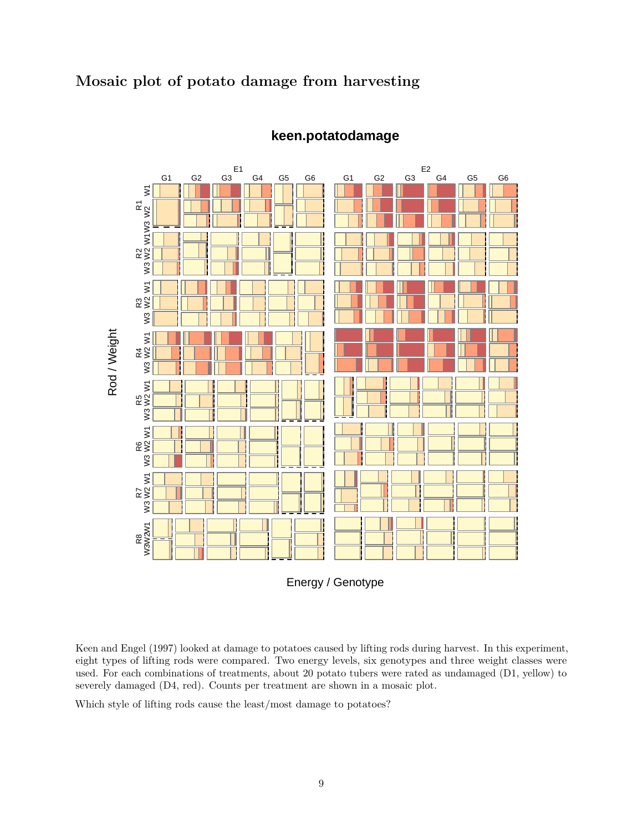#### **Mosaic plot of potato damage from harvesting**



#### **keen.potatodamage**

Energy / Genotype

Keen and Engel (1997) looked at damage to potatoes caused by lifting rods during harvest. In this experiment, eight types of lifting rods were compared. Two energy levels, six genotypes and three weight classes were used. For each combinations of treatments, about 20 potato tubers were rated as undamaged (D1, yellow) to severely damaged (D4, red). Counts per treatment are shown in a mosaic plot.

Which style of lifting rods cause the least/most damage to potatoes?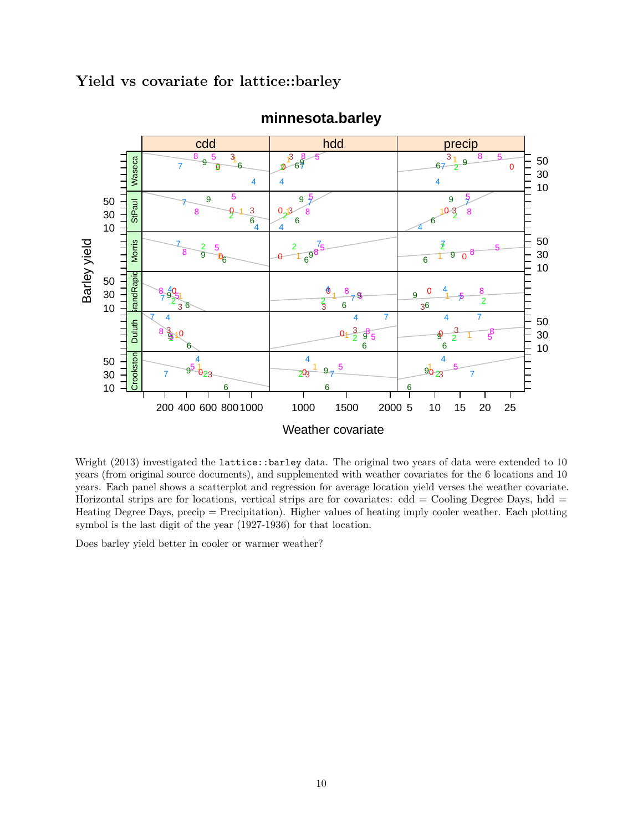#### **Yield vs covariate for lattice::barley**



#### **minnesota.barley**

Wright (2013) investigated the lattice::barley data. The original two years of data were extended to 10 years (from original source documents), and supplemented with weather covariates for the 6 locations and 10 years. Each panel shows a scatterplot and regression for average location yield verses the weather covariate. Horizontal strips are for locations, vertical strips are for covariates:  $cdd = Cooling$  Degree Days,  $hdd =$ Heating Degree Days, precip = Precipitation). Higher values of heating imply cooler weather. Each plotting symbol is the last digit of the year (1927-1936) for that location.

Does barley yield better in cooler or warmer weather?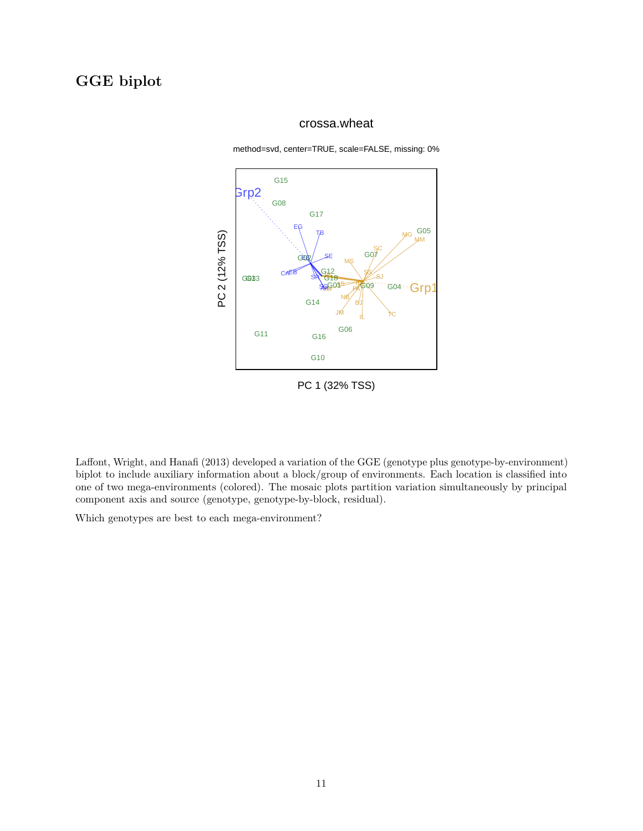# **GGE biplot**

#### crossa.wheat

method=svd, center=TRUE, scale=FALSE, missing: 0%



PC 1 (32% TSS)

Laffont, Wright, and Hanafi (2013) developed a variation of the GGE (genotype plus genotype-by-environment) biplot to include auxiliary information about a block/group of environments. Each location is classified into one of two mega-environments (colored). The mosaic plots partition variation simultaneously by principal component axis and source (genotype, genotype-by-block, residual).

Which genotypes are best to each mega-environment?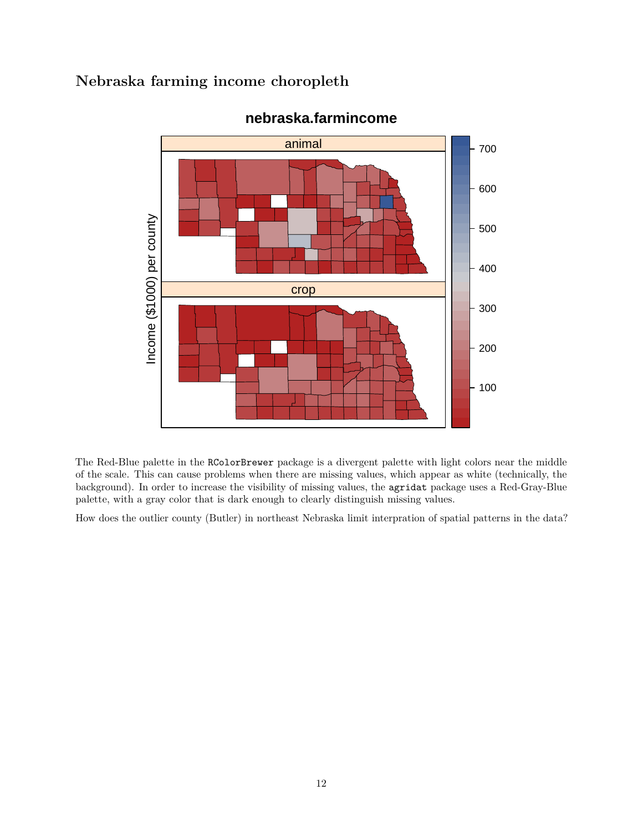## **Nebraska farming income choropleth**



## **nebraska.farmincome**

The Red-Blue palette in the RColorBrewer package is a divergent palette with light colors near the middle of the scale. This can cause problems when there are missing values, which appear as white (technically, the background). In order to increase the visibility of missing values, the agridat package uses a Red-Gray-Blue palette, with a gray color that is dark enough to clearly distinguish missing values.

How does the outlier county (Butler) in northeast Nebraska limit interpration of spatial patterns in the data?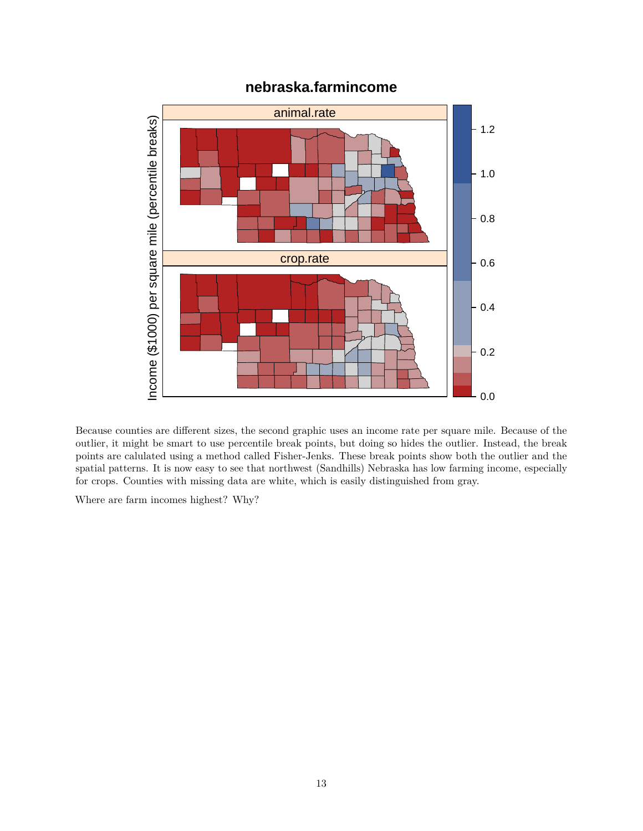

## **nebraska.farmincome**

Because counties are different sizes, the second graphic uses an income rate per square mile. Because of the outlier, it might be smart to use percentile break points, but doing so hides the outlier. Instead, the break points are calulated using a method called Fisher-Jenks. These break points show both the outlier and the spatial patterns. It is now easy to see that northwest (Sandhills) Nebraska has low farming income, especially for crops. Counties with missing data are white, which is easily distinguished from gray.

Where are farm incomes highest? Why?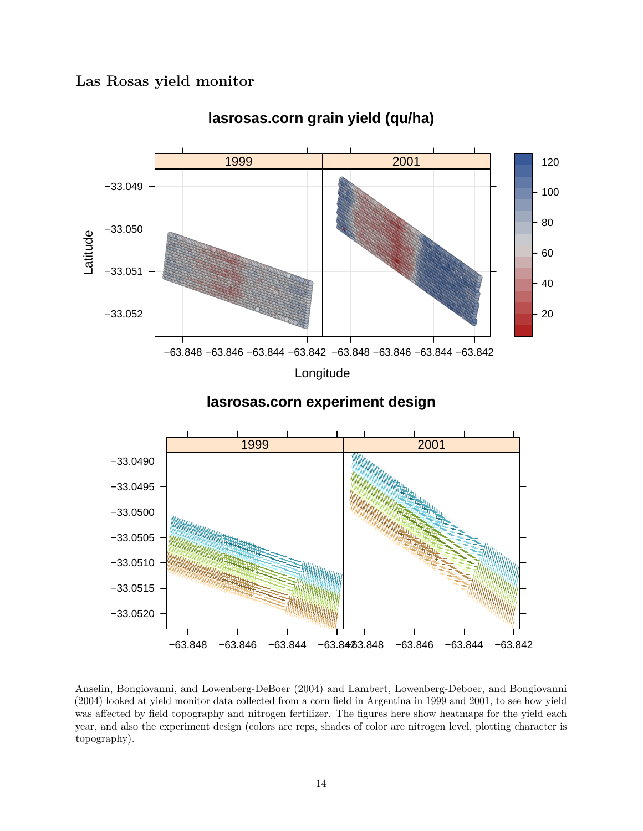#### Las Rosas yield monitor



lasrosas.corn grain yield (qu/ha)



Anselin, Bongiovanni, and Lowenberg-DeBoer (2004) and Lambert, Lowenberg-Deboer, and Bongiovanni (2004) looked at yield monitor data collected from a corn field in Argentina in 1999 and 2001, to see how yield was affected by field topography and nitrogen fertilizer. The figures here show heatmaps for the yield each year, and also the experiment design (colors are reps, shades of color are nitrogen level, plotting character is topography).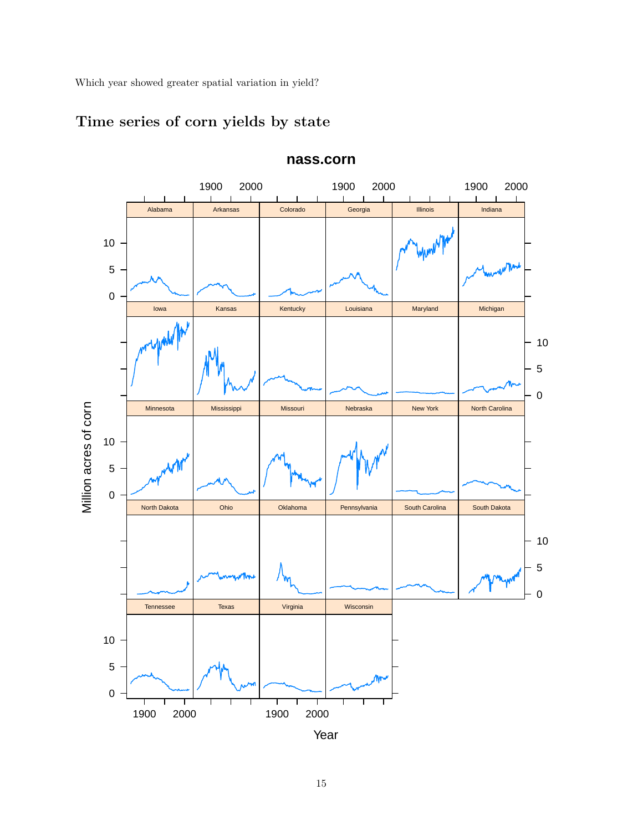Which year showed greater spatial variation in yield?



# **Time series of corn yields by state**

15